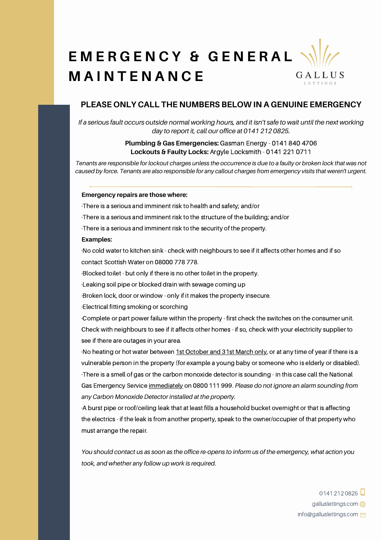# **E M E R G E N C Y & G E N E R A L M A I N T E N A N C E** GALLUS LETTINGS

# **PLEASE ONLY CALL THE NUMBERS BELOW IN A GENUINE EMERGENCY**

If a serious fault occurs outside normal working hours, and it isn't safe to wait until the next working *day to report it, call our office at [0141](tel:01412120825) 212 0825.*

### **Plumbing & Gas Emergencies:** Gasman Energy - 0141 840 4706 **Lockouts & Faulty Locks:** Argyle Locksmith - [0141](https://www.google.com/search?q=argyle+locksmiths&oq=argyle+locksmiths&aqs=chrome..69i57j46i175i199i512j0i512.2883j0j7&sourceid=chrome&ie=UTF-8#) 221 0711

Tenants are responsible for lockout charges unless the occurrence is due to a faulty or broken lock that was not caused by force. Tenants are also responsible for any callout charges from emergency visits that weren't urgent.

### **Emergency repairs are those where:**

·There is a serious and imminent risk to health and safety; and/or

·There is a serious and imminent risk to the structure of the building; and/or

·There is a serious and imminent risk to the security of the property.

#### **Examples:**

·No cold water to kitchen sink - check with neighbours to see if it affects other homes and if so contact Scottish Water on 08000 778 778.

·Blocked toilet - but only if there is no other toilet in the property.

·Leaking soil pipe or blocked drain with sewage coming up

·Broken lock, door or window - only if it makes the property insecure.

·Electrical fitting smoking or scorching

·Complete or part power failure within the property - first check the switches on the consumer unit. Check with neighbours to see if it affects other homes - if so, check with your electricity supplier to see if there are outages in your area.

·No heating or hot water between 1st October and 31st March only, or at any time of year if there is a vulnerable person in the property (for example a young baby or someone who is elderly or disabled). ·There is a smell of gas or the carbon monoxide detector is sounding - in this case call the National Gas Emergency Service immediately on 0800 111 999. *Please do not ignore an alarm sounding from any Carbon Monoxide Detector installed at the property.*

·A burst pipe or roof/ceiling leak that at least fills a household bucket overnight or that is affecting the electrics - if the leak is from another property, speak to the owner/occupier of that property who must arrange the repair.

You should contact us as soon as the office re-opens to inform us of the emergency, what action you *took, and whether any follow up work is required.*

> $01412120825$ galluslettings.com **can** info@galluslettings.com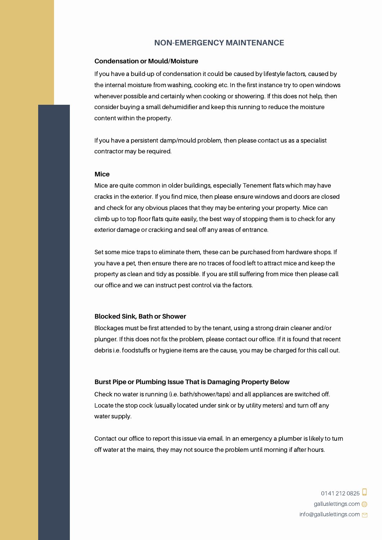# **NON-EMERGENCY MAINTENANCE**

### **Condensation or Mould/Moisture**

If you have a build-up of condensation it could be caused by lifestyle factors, caused by the internal moisture from washing, cooking etc. In the first instance try to open windows whenever possible and certainly when cooking or showering. If this does not help, then consider buying a small dehumidifier and keep this running to reduce the moisture content within the property.

If you have a persistent damp/mould problem, then please contact us as a specialist contractor may be required.

### **Mice**

Mice are quite common in older buildings, especially Tenement flats which may have cracks in the exterior. If you find mice, then please ensure windows and doors are closed and check for any obvious places that they may be entering your property. Mice can climb up to top floor flats quite easily, the best way of stopping them is to check for any exterior damage or cracking and seal off any areas of entrance.

Set some mice traps to eliminate them, these can be purchased from hardware shops. If you have a pet, then ensure there are no traces of food left to attract mice and keep the property as clean and tidy as possible. If you are still suffering from mice then please call our office and we can instruct pest control via the factors.

### **Blocked Sink, Bath or Shower**

Blockages must be first attended to by the tenant, using a strong drain cleaner and/or plunger. If this does not fix the problem, please contact our office. If it is found that recent debris i.e. foodstuffs or hygiene items are the cause, you may be charged for this call out.

### **Burst Pipe or Plumbing Issue That is Damaging Property Below**

Check no water is running (i.e. bath/shower/taps) and all appliances are switched off. Locate the stop cock (usually located under sink or by utility meters) and turn off any water supply.

Contact our office to report this issue via email. In an emergency a plumber is likely to turn off water at the mains, they may not source the problem until morning if after hours.

> 0141 212 0825 galluslettings.com info@galluslettings.com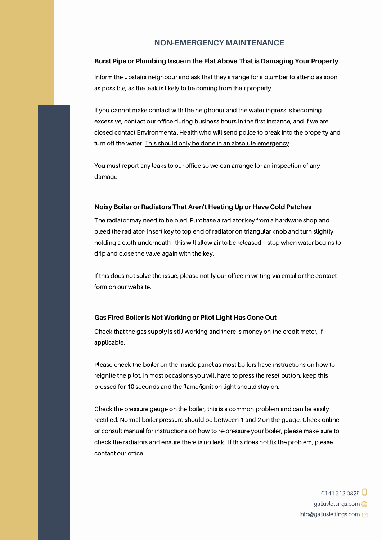# **NON-EMERGENCY MAINTENANCE**

### **Burst Pipe or Plumbing Issue in the Flat Above That is Damaging Your Property**

Inform the upstairs neighbour and ask that they arrange for a plumber to attend as soon as possible, as the leak is likely to be coming from their property.

If you cannot make contact with the neighbour and the water ingress is becoming excessive, contact our office during business hours in the first instance, and if we are closed contact Environmental Health who will send police to break into the property and turn off the water. This should only be done in an absolute emergency.

You must report any leaks to our office so we can arrange for an inspection of any damage.

### **Noisy Boiler or Radiators That Aren't Heating Up or Have Cold Patches**

The radiator may need to be bled. Purchase a radiator key from a hardware shop and bleed the radiator- insert key to top end of radiator on triangular knob and turn slightly holding a cloth underneath - this will allow air to be released – stop when water begins to drip and close the valve again with the key.

If this does not solve the issue, please notify our office in writing via email or the contact form on our website.

### **Gas Fired Boiler is Not Working or Pilot Light Has Gone Out**

Check that the gas supply is still working and there is money on the credit meter, if applicable.

Please check the boiler on the inside panel as most boilers have instructions on how to reignite the pilot. In most occasions you will have to press the reset button, keep this pressed for 10 seconds and the flame/ignition light should stay on.

Check the pressure gauge on the boiler, this is a common problem and can be easily rectified. Normal boiler pressure should be between 1 and 2 on the guage. Check online or consult manual for instructions on how to re-pressure your boiler, please make sure to check the radiators and ensure there is no leak. If this does not fix the problem, please contact our office.

> 0141 212 0825 galluslettings.com **can** info@galluslettings.com